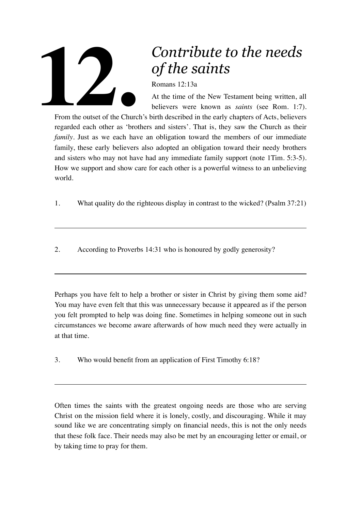

## *Contribute to the needs of the saints*

Romans 12:13a

At the time of the New Testament being written, all believers were known as *saints* (see Rom. 1:7).

From the outset of the Church's birth described in the early chapters of Acts, believers regarded each other as 'brothers and sisters'. That is, they saw the Church as their *family*. Just as we each have an obligation toward the members of our immediate family, these early believers also adopted an obligation toward their needy brothers and sisters who may not have had any immediate family support (note 1Tim. 5:3-5). How we support and show care for each other is a powerful witness to an unbelieving world.

- 1. What quality do the righteous display in contrast to the wicked? (Psalm 37:21)
- 2. According to Proverbs 14:31 who is honoured by godly generosity?

Perhaps you have felt to help a brother or sister in Christ by giving them some aid? You may have even felt that this was unnecessary because it appeared as if the person you felt prompted to help was doing fine. Sometimes in helping someone out in such circumstances we become aware afterwards of how much need they were actually in at that time.

3. Who would benefit from an application of First Timothy 6:18?

Often times the saints with the greatest ongoing needs are those who are serving Christ on the mission field where it is lonely, costly, and discouraging. While it may sound like we are concentrating simply on financial needs, this is not the only needs that these folk face. Their needs may also be met by an encouraging letter or email, or by taking time to pray for them.